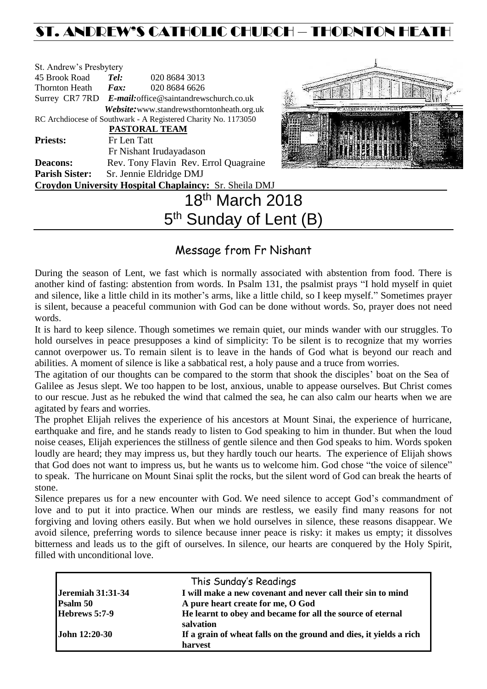## ST. ANDREW'S CATHOLIC CHURCH – THORNTON HEATH

| St. Andrew's Presbytery |             |                                                                |  |
|-------------------------|-------------|----------------------------------------------------------------|--|
| 45 Brook Road           | Tel:        | 020 8684 3013                                                  |  |
| <b>Thornton Heath</b>   | Fax:        | 020 8684 6626                                                  |  |
|                         |             | Surrey CR7 7RD E-mail: office@saintandrewschurch.co.uk         |  |
|                         |             | Website: www.standrewsthorntonheath.org.uk                     |  |
|                         |             | RC Archdiocese of Southwark - A Registered Charity No. 1173050 |  |
|                         |             | <b>PASTORAL TEAM</b>                                           |  |
| <b>Priests:</b>         | Fr Len Tatt |                                                                |  |
|                         |             | Fr Nishant Irudayadason                                        |  |
| <b>Deacons:</b>         |             | Rev. Tony Flavin Rev. Errol Quagraine                          |  |
| <b>Parish Sister:</b>   |             | Sr. Jennie Eldridge DMJ                                        |  |
|                         |             | <b>Croydon University Hospital Chaplaincy: Sr. Sheila DMJ</b>  |  |
|                         |             | March 2018                                                     |  |



# 2018 5<sup>th</sup> Sunday of Lent (B)

### Message from Fr Nishant

During the season of Lent, we fast which is normally associated with abstention from food. There is another kind of fasting: abstention from words. In Psalm 131, the psalmist prays "I hold myself in quiet and silence, like a little child in its mother's arms, like a little child, so I keep myself." Sometimes prayer is silent, because a peaceful communion with God can be done without words. So, prayer does not need words.

It is hard to keep silence. Though sometimes we remain quiet, our minds wander with our struggles. To hold ourselves in peace presupposes a kind of simplicity: To be silent is to recognize that my worries cannot overpower us. To remain silent is to leave in the hands of God what is beyond our reach and abilities. A moment of silence is like a sabbatical rest, a holy pause and a truce from worries.

The agitation of our thoughts can be compared to the storm that shook the disciples' boat on the Sea of Galilee as Jesus slept. We too happen to be lost, anxious, unable to appease ourselves. But Christ comes to our rescue. Just as he rebuked the wind that calmed the sea, he can also calm our hearts when we are agitated by fears and worries.

The prophet Elijah relives the experience of his ancestors at Mount Sinai, the experience of hurricane, earthquake and fire, and he stands ready to listen to God speaking to him in thunder. But when the loud noise ceases, Elijah experiences the stillness of gentle silence and then God speaks to him. Words spoken loudly are heard; they may impress us, but they hardly touch our hearts. The experience of Elijah shows that God does not want to impress us, but he wants us to welcome him. God chose "the voice of silence" to speak. The hurricane on Mount Sinai split the rocks, but the silent word of God can break the hearts of stone.

Silence prepares us for a new encounter with God. We need silence to accept God's commandment of love and to put it into practice. When our minds are restless, we easily find many reasons for not forgiving and loving others easily. But when we hold ourselves in silence, these reasons disappear. We avoid silence, preferring words to silence because inner peace is risky: it makes us empty; it dissolves bitterness and leads us to the gift of ourselves. In silence, our hearts are conquered by the Holy Spirit, filled with unconditional love.

|                          | This Sunday's Readings                                                        |
|--------------------------|-------------------------------------------------------------------------------|
| <b>Jeremiah 31:31-34</b> | I will make a new covenant and never call their sin to mind                   |
| Psalm 50                 | A pure heart create for me, O God                                             |
| Hebrews 5:7-9            | He learnt to obey and became for all the source of eternal<br>salvation       |
| John 12:20-30            | If a grain of wheat falls on the ground and dies, it yields a rich<br>harvest |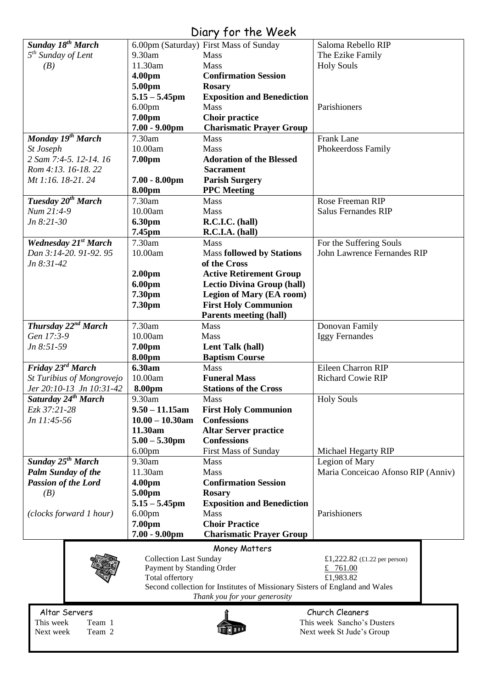## Diary for the Week

| Sunday 18 <sup>th</sup> March   |                               |                                                                             |                                    |
|---------------------------------|-------------------------------|-----------------------------------------------------------------------------|------------------------------------|
|                                 |                               | 6.00pm (Saturday) First Mass of Sunday                                      | Saloma Rebello RIP                 |
| $5th$ Sunday of Lent            | 9.30am                        | Mass                                                                        | The Ezike Family                   |
| (B)                             | 11.30am                       | Mass                                                                        | <b>Holy Souls</b>                  |
|                                 |                               | <b>Confirmation Session</b>                                                 |                                    |
|                                 | 4.00pm                        |                                                                             |                                    |
|                                 | 5.00pm                        | <b>Rosary</b>                                                               |                                    |
|                                 | $5.15 - 5.45$ pm              | <b>Exposition and Benediction</b>                                           |                                    |
|                                 | 6.00 <sub>pm</sub>            | <b>Mass</b>                                                                 | Parishioners                       |
|                                 | 7.00pm                        | <b>Choir practice</b>                                                       |                                    |
|                                 | $7.00 - 9.00$ pm              | <b>Charismatic Prayer Group</b>                                             |                                    |
|                                 |                               |                                                                             |                                    |
| Monday 19th March               | 7.30am                        | <b>Mass</b>                                                                 | Frank Lane                         |
| St Joseph                       | 10.00am                       | Mass                                                                        | Phokeerdoss Family                 |
| 2 Sam 7:4-5, 12-14, 16          | 7.00pm                        | <b>Adoration of the Blessed</b>                                             |                                    |
| Rom 4:13. 16-18. 22             |                               | <b>Sacrament</b>                                                            |                                    |
| Mt 1:16. 18-21. 24              | $7.00 - 8.00$ pm              | <b>Parish Surgery</b>                                                       |                                    |
|                                 |                               |                                                                             |                                    |
|                                 | 8.00pm                        | <b>PPC</b> Meeting                                                          |                                    |
| Tuesday 20 <sup>th</sup> March  | 7.30am                        | <b>Mass</b>                                                                 | Rose Freeman RIP                   |
| Num 21:4-9                      | 10.00am                       | Mass                                                                        | <b>Salus Fernandes RIP</b>         |
| Jn 8:21-30                      | 6.30pm                        | R.C.I.C. (hall)                                                             |                                    |
|                                 | 7.45pm                        | R.C.I.A. (hall)                                                             |                                    |
| <b>Wednesday 21st March</b>     | 7.30am                        | Mass                                                                        | For the Suffering Souls            |
|                                 |                               |                                                                             |                                    |
| Dan 3:14-20. 91-92. 95          | 10.00am                       | <b>Mass followed by Stations</b>                                            | John Lawrence Fernandes RIP        |
| $Jn 8:31-42$                    |                               | of the Cross                                                                |                                    |
|                                 | 2.00 <sub>pm</sub>            | <b>Active Retirement Group</b>                                              |                                    |
|                                 | 6.00pm                        | <b>Lectio Divina Group (hall)</b>                                           |                                    |
|                                 | 7.30pm                        | <b>Legion of Mary (EA room)</b>                                             |                                    |
|                                 |                               |                                                                             |                                    |
|                                 | 7.30pm                        | <b>First Holy Communion</b>                                                 |                                    |
|                                 |                               | <b>Parents meeting (hall)</b>                                               |                                    |
| Thursday 22 <sup>nd</sup> March | 7.30am                        | Mass                                                                        | Donovan Family                     |
| Gen 17:3-9                      | 10.00am                       | Mass                                                                        | <b>Iggy Fernandes</b>              |
| Jn 8:51-59                      | 7.00pm                        | Lent Talk (hall)                                                            |                                    |
|                                 | 8.00pm                        | <b>Baptism Course</b>                                                       |                                    |
| Friday 23rd March               | 6.30am                        | <b>Mass</b>                                                                 | Eileen Charron RIP                 |
|                                 |                               |                                                                             |                                    |
|                                 |                               |                                                                             |                                    |
| St Turibius of Mongrovejo       | 10.00am                       | <b>Funeral Mass</b>                                                         | Richard Cowie RIP                  |
| Jer 20:10-13 Jn 10:31-42        | 8.00pm                        | <b>Stations of the Cross</b>                                                |                                    |
| Saturday 24 <sup>th</sup> March | $9.30$ am                     | <b>Mass</b>                                                                 | <b>Holy Souls</b>                  |
| Ezk 37:21-28                    | $9.50 - 11.15$ am             | <b>First Holy Communion</b>                                                 |                                    |
|                                 |                               |                                                                             |                                    |
| Jn 11:45-56                     | $10.00 - 10.30$ am            | <b>Confessions</b>                                                          |                                    |
|                                 | 11.30am                       | <b>Altar Server practice</b>                                                |                                    |
|                                 | $5.00 - 5.30$ pm              | <b>Confessions</b>                                                          |                                    |
|                                 | 6.00 <sub>pm</sub>            | <b>First Mass of Sunday</b>                                                 | Michael Hegarty RIP                |
| <b>Sunday 25th March</b>        | 9.30am                        | <b>Mass</b>                                                                 | Legion of Mary                     |
| <b>Palm Sunday of the</b>       | 11.30am                       | Mass                                                                        | Maria Conceicao Afonso RIP (Anniv) |
| <b>Passion of the Lord</b>      | 4.00pm                        | <b>Confirmation Session</b>                                                 |                                    |
|                                 |                               |                                                                             |                                    |
| (B)                             | 5.00pm                        | <b>Rosary</b>                                                               |                                    |
|                                 | $5.15 - 5.45$ pm              | <b>Exposition and Benediction</b>                                           |                                    |
| (clocks forward 1 hour)         | 6.00 <sub>pm</sub>            | Mass                                                                        | Parishioners                       |
|                                 | 7.00pm                        | <b>Choir Practice</b>                                                       |                                    |
|                                 | $7.00 - 9.00$ pm              | <b>Charismatic Prayer Group</b>                                             |                                    |
|                                 |                               |                                                                             |                                    |
|                                 |                               | Money Matters                                                               |                                    |
|                                 | <b>Collection Last Sunday</b> |                                                                             | £1,222.82 (£1.22 per person)       |
|                                 | Payment by Standing Order     |                                                                             | £ 761.00                           |
|                                 | Total offertory               |                                                                             | £1,983.82                          |
|                                 |                               | Second collection for Institutes of Missionary Sisters of England and Wales |                                    |
|                                 |                               | Thank you for your generosity                                               |                                    |
|                                 |                               |                                                                             | Church Cleaners                    |
| Altar Servers                   |                               |                                                                             |                                    |
| This week<br>Team 1             |                               |                                                                             | This week Sancho's Dusters         |
| Next week<br>Team 2             |                               |                                                                             | Next week St Jude's Group          |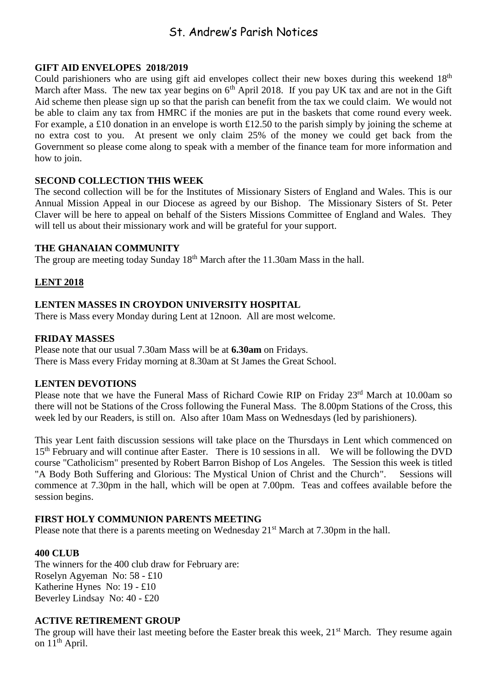## St. Andrew's Parish Notices

#### **GIFT AID ENVELOPES 2018/2019**

Could parishioners who are using gift aid envelopes collect their new boxes during this weekend 18<sup>th</sup> March after Mass. The new tax year begins on  $6<sup>th</sup>$  April 2018. If you pay UK tax and are not in the Gift Aid scheme then please sign up so that the parish can benefit from the tax we could claim. We would not be able to claim any tax from HMRC if the monies are put in the baskets that come round every week. For example, a £10 donation in an envelope is worth £12.50 to the parish simply by joining the scheme at no extra cost to you. At present we only claim 25% of the money we could get back from the Government so please come along to speak with a member of the finance team for more information and how to join.

#### **SECOND COLLECTION THIS WEEK**

The second collection will be for the Institutes of Missionary Sisters of England and Wales. This is our Annual Mission Appeal in our Diocese as agreed by our Bishop. The Missionary Sisters of St. Peter Claver will be here to appeal on behalf of the Sisters Missions Committee of England and Wales. They will tell us about their missionary work and will be grateful for your support.

#### **THE GHANAIAN COMMUNITY**

The group are meeting today Sunday  $18<sup>th</sup>$  March after the 11.30am Mass in the hall.

#### **LENT 2018**

#### **LENTEN MASSES IN CROYDON UNIVERSITY HOSPITAL**

There is Mass every Monday during Lent at 12noon. All are most welcome.

#### **FRIDAY MASSES**

Please note that our usual 7.30am Mass will be at **6.30am** on Fridays. There is Mass every Friday morning at 8.30am at St James the Great School.

#### **LENTEN DEVOTIONS**

Please note that we have the Funeral Mass of Richard Cowie RIP on Friday 23<sup>rd</sup> March at 10.00am so there will not be Stations of the Cross following the Funeral Mass. The 8.00pm Stations of the Cross, this week led by our Readers, is still on. Also after 10am Mass on Wednesdays (led by parishioners).

This year Lent faith discussion sessions will take place on the Thursdays in Lent which commenced on 15<sup>th</sup> February and will continue after Easter. There is 10 sessions in all. We will be following the DVD course "Catholicism" presented by Robert Barron Bishop of Los Angeles. The Session this week is titled "A Body Both Suffering and Glorious: The Mystical Union of Christ and the Church". Sessions will commence at 7.30pm in the hall, which will be open at 7.00pm. Teas and coffees available before the session begins.

#### **FIRST HOLY COMMUNION PARENTS MEETING**

Please note that there is a parents meeting on Wednesday 21<sup>st</sup> March at 7.30pm in the hall.

#### **400 CLUB**

The winners for the 400 club draw for February are: Roselyn Agyeman No: 58 - £10 Katherine Hynes No: 19 - £10 Beverley Lindsay No: 40 - £20

#### **ACTIVE RETIREMENT GROUP**

The group will have their last meeting before the Easter break this week, 21<sup>st</sup> March. They resume again on  $11<sup>th</sup>$  April.